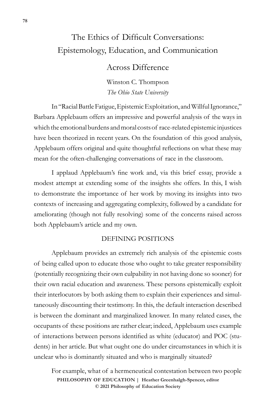# The Ethics of Difficult Conversations: Epistemology, Education, and Communication

## Across Difference

Winston C. Thompson *The Ohio State University* 

In "Racial Battle Fatigue, Epistemic Exploitation, and Willful Ignorance," Barbara Applebaum offers an impressive and powerful analysis of the ways in which the emotional burdens and moral costs of race-related epistemic injustices have been theorized in recent years. On the foundation of this good analysis, Applebaum offers original and quite thoughtful reflections on what these may mean for the often-challenging conversations of race in the classroom.

I applaud Applebaum's fine work and, via this brief essay, provide a modest attempt at extending some of the insights she offers. In this, I wish to demonstrate the importance of her work by moving its insights into two contexts of increasing and aggregating complexity, followed by a candidate for ameliorating (though not fully resolving) some of the concerns raised across both Applebaum's article and my own.

### DEFINING POSITIONS

Applebaum provides an extremely rich analysis of the epistemic costs of being called upon to educate those who ought to take greater responsibility (potentially recognizing their own culpability in not having done so sooner) for their own racial education and awareness. These persons epistemically exploit their interlocutors by both asking them to explain their experiences and simultaneously discounting their testimony. In this, the default interaction described is between the dominant and marginalized knower. In many related cases, the occupants of these positions are rather clear; indeed, Applebaum uses example of interactions between persons identified as white (educator) and POC (students) in her article. But what ought one do under circumstances in which it is unclear who is dominantly situated and who is marginally situated?

For example, what of a hermeneutical contestation between two people **PHILOSOPHY OF EDUCATION | Heather Greenhalgh-Spencer, editor © 2021 Philosophy of Education Society**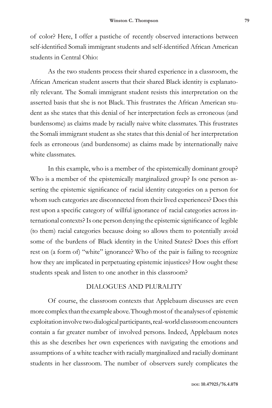of color? Here, I offer a pastiche of recently observed interactions between self-identified Somali immigrant students and self-identified African American students in Central Ohio:

As the two students process their shared experience in a classroom, the African American student asserts that their shared Black identity is explanatorily relevant. The Somali immigrant student resists this interpretation on the asserted basis that she is not Black. This frustrates the African American student as she states that this denial of her interpretation feels as erroneous (and burdensome) as claims made by racially naive white classmates. This frustrates the Somali immigrant student as she states that this denial of her interpretation feels as erroneous (and burdensome) as claims made by internationally naive white classmates.

In this example, who is a member of the epistemically dominant group? Who is a member of the epistemically marginalized group? Is one person asserting the epistemic significance of racial identity categories on a person for whom such categories are disconnected from their lived experiences? Does this rest upon a specific category of willful ignorance of racial categories across international contexts? Is one person denying the epistemic significance of legible (to them) racial categories because doing so allows them to potentially avoid some of the burdens of Black identity in the United States? Does this effort rest on (a form of) "white" ignorance? Who of the pair is failing to recognize how they are implicated in perpetuating epistemic injustices? How ought these students speak and listen to one another in this classroom?

#### DIALOGUES AND PLURALITY

Of course, the classroom contexts that Applebaum discusses are even more complex than the example above. Though most of the analyses of epistemic exploitation involve two dialogical participants, real-world classroom encounters contain a far greater number of involved persons. Indeed, Applebaum notes this as she describes her own experiences with navigating the emotions and assumptions of a white teacher with racially marginalized and racially dominant students in her classroom. The number of observers surely complicates the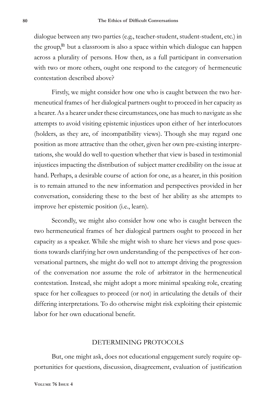dialogue between any two parties (e.g., teacher-student, student-student, etc.) in the group,<sup>1</sup> but a classroom is also a space within which dialogue can happen across a plurality of persons. How then, as a full participant in conversation with two or more others, ought one respond to the category of hermeneutic contestation described above?

Firstly, we might consider how one who is caught between the two hermeneutical frames of her dialogical partners ought to proceed in her capacity as a hearer. As a hearer under these circumstances, one has much to navigate as she attempts to avoid visiting epistemic injustices upon either of her interlocutors (holders, as they are, of incompatibility views). Though she may regard one position as more attractive than the other, given her own pre-existing interpretations, she would do well to question whether that view is based in testimonial injustices impacting the distribution of subject matter credibility on the issue at hand. Perhaps, a desirable course of action for one, as a hearer, in this position is to remain attuned to the new information and perspectives provided in her conversation, considering these to the best of her ability as she attempts to improve her epistemic position (i.e., learn).

Secondly, we might also consider how one who is caught between the two hermeneutical frames of her dialogical partners ought to proceed in her capacity as a speaker. While she might wish to share her views and pose questions towards clarifying her own understanding of the perspectives of her conversational partners, she might do well not to attempt driving the progression of the conversation nor assume the role of arbitrator in the hermeneutical contestation. Instead, she might adopt a more minimal speaking role, creating space for her colleagues to proceed (or not) in articulating the details of their differing interpretations. To do otherwise might risk exploiting their epistemic labor for her own educational benefit.

#### DETERMINING PROTOCOLS

But, one might ask, does not educational engagement surely require opportunities for questions, discussion, disagreement, evaluation of justification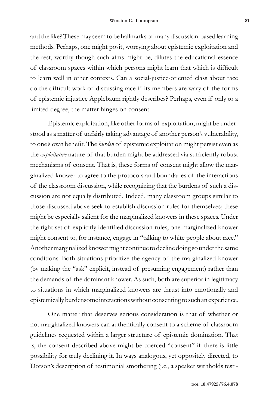and the like? These may seem to be hallmarks of many discussion-based learning methods. Perhaps, one might posit, worrying about epistemic exploitation and the rest, worthy though such aims might be, dilutes the educational essence of classroom spaces within which persons might learn that which is difficult to learn well in other contexts. Can a social-justice-oriented class about race do the difficult work of discussing race if its members are wary of the forms of epistemic injustice Applebaum rightly describes? Perhaps, even if only to a limited degree, the matter hinges on consent.

Epistemic exploitation, like other forms of exploitation, might be understood as a matter of unfairly taking advantage of another person's vulnerability, to one's own benefit. The *burden* of epistemic exploitation might persist even as the *exploitative* nature of that burden might be addressed via sufficiently robust mechanisms of consent. That is, these forms of consent might allow the marginalized knower to agree to the protocols and boundaries of the interactions of the classroom discussion, while recognizing that the burdens of such a discussion are not equally distributed. Indeed, many classroom groups similar to those discussed above seek to establish discussion rules for themselves; these might be especially salient for the marginalized knowers in these spaces. Under the right set of explicitly identified discussion rules, one marginalized knower might consent to, for instance, engage in "talking to white people about race." Another marginalized knower might continue to decline doing so under the same conditions. Both situations prioritize the agency of the marginalized knower (by making the "ask" explicit, instead of presuming engagement) rather than the demands of the dominant knower. As such, both are superior in legitimacy to situations in which marginalized knowers are thrust into emotionally and epistemically burdensome interactions without consenting to such an experience.

One matter that deserves serious consideration is that of whether or not marginalized knowers can authentically consent to a scheme of classroom guidelines requested within a larger structure of epistemic domination. That is, the consent described above might be coerced "consent" if there is little possibility for truly declining it. In ways analogous, yet oppositely directed, to Dotson's description of testimonial smothering (i.e., a speaker withholds testi-